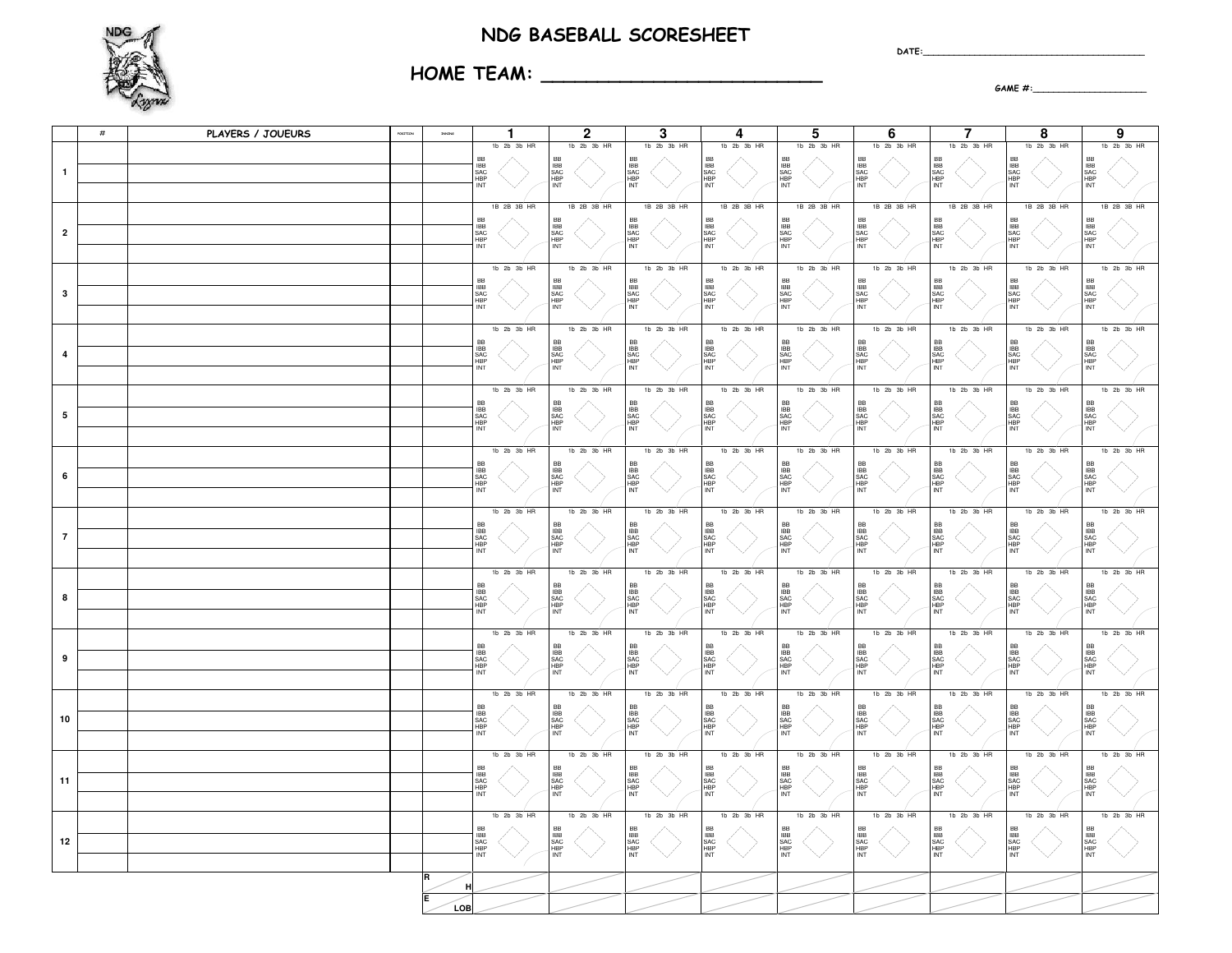## NDG BASEBALL SCORESHEET

 $\mathsf{DATE}:\square$ 



HOME TEAM: \_\_\_\_\_\_\_\_\_\_\_\_\_\_\_\_\_\_\_\_\_\_\_\_\_

GAME #:\_\_\_\_\_\_\_\_\_\_\_\_\_\_\_\_\_\_\_\_\_\_

|                | $\#$ | PLAYERS / JOUEURS | OSETION |     | $\mathbf{1}$                                           | $\mathbf{2}$                                  | 3                                                     | 4                                             | 5                                                     | 6                                                     | 7                                                     | 8                                             | 9                                             |
|----------------|------|-------------------|---------|-----|--------------------------------------------------------|-----------------------------------------------|-------------------------------------------------------|-----------------------------------------------|-------------------------------------------------------|-------------------------------------------------------|-------------------------------------------------------|-----------------------------------------------|-----------------------------------------------|
| 1              |      |                   |         |     | 1b 2b 3b HR<br>SAC<br>HBP<br>INT                       | 1b 2b 3b HR<br>BB<br>SAC<br>HBP<br>INT        | 1b 2b 3b HR<br>BB<br>IBB<br>SAC<br>HBP<br>INT         | 1b 2b 3b HR<br>BB<br>IBB<br>SAC<br>HBP<br>INT | 1b 2b 3b HR<br>BB<br>IBB<br>SAC<br>HBP<br>INT         | 1b 2b 3b HR<br>BB<br>IBB<br>SAC<br>HBP<br>INT         | 1b 2b 3b HR<br>BB<br>IBB<br>SAC<br>HBP<br>INT         | 1b 2b 3b HR<br>BB<br>IBB<br>SAC<br>HBP<br>INT | 1b 2b 3b HF<br>BB<br>IBB<br>SAC<br>HBP<br>INT |
|                |      |                   |         |     | 1B 2B 3B HR                                            | 1B 2B 3B HR                                   | 1B 2B 3B HR                                           | 1B 2B 3B HR                                   | 1B 2B 3B HR                                           | 1B 2B 3B HR                                           | 1B 2B 3B HR                                           | 1B 2B 3B HR                                   | 1B 2B 3B HR                                   |
| $\overline{2}$ |      |                   |         |     | BB<br>IBB<br>SAC<br>HBP<br>INT                         | BB<br>IBB<br>SAC<br>HBP<br>INT                | BB<br>IBB<br>SAC<br>HBP<br>INT                        | BB<br>IBB<br>SAC<br>HBP<br>INT                | BB<br>SAC<br>INP<br>INT                               | BB<br>IBB<br>SAC<br>HBP<br>INT                        | BB<br>IBB<br>SAC<br>HBP<br>INT                        | BB<br>IBB<br>SAC<br>HBP<br>INT                | BB<br>IBB<br>SAC<br>HBP<br>INT                |
| 3              |      |                   |         |     | 1b 2b 3b HR<br>BB<br>IBB<br>SAC<br>HBP<br>INT          | 1b 2b 3b HR<br>BB<br>SAC<br>HBP<br>INT        | 1b 2b 3b HR<br>BB<br>IBB<br>SAC<br>HBP<br>INT         | 1b 2b 3b HR<br>BB<br>IBB<br>SAC<br>HBP<br>INT | 1b 2b 3b HR<br>BB<br>IBB<br>SAC<br>HBP<br>INT         | 1b 2b 3b HR<br>BB<br>IBB<br>SAC<br>HBP<br>INT         | 1b 2b 3b HR<br>BB<br>IBB<br>SAC<br>HBP<br>INT         | 1b 2b 3b HR<br>BB<br>IBB<br>SAC<br>HBP<br>INT | 1b 2b 3b HR<br>BB<br>IBB<br>SAC<br>HBP<br>INT |
| 4              |      |                   |         |     | 1b 2b 3b HR<br><b>BB</b><br>SAC<br>HBP<br>INT          | 1b 2b 3b HR<br><b>BB</b><br>SAC<br>HBP<br>INT | 1b 2b 3b HR<br>BB<br>IBB<br>SAC<br>HBP<br>INT         | 1b 2b 3b HR<br>BB<br>IBB<br>SAC<br>HBP<br>INT | 1b 2b 3b HR<br>BB<br>IBB<br>SAC<br>HBP<br>INT         | 1b 2b 3b HR<br>BB<br>IBB<br>SAC<br>HBP<br>INT         | 1b 2b 3b HR<br>BB<br>IBB<br>SAC<br>HBP<br>INT         | 1b 2b 3b HR<br>BB<br>IBB<br>SAC<br>HBP<br>INT | 1b 2b 3b HR<br>BB<br>IBB<br>SAC<br>HBP<br>INT |
| 5              |      |                   |         |     | 1b 2b 3b HR<br><b>IBB</b><br>SAC<br>HBP<br>INT         | 1b 2b 3b HR<br>BB<br>IBB<br>SAC<br>HBP<br>INT | 1b 2b 3b HR<br>BB<br>IBB<br>SAC<br>HBP<br>INT         | 1b 2b 3b HR<br>BB<br>IBB<br>SAC<br>HBP<br>INT | 1b 2b 3b HR<br>BB<br>SAC<br>HBP<br>INT                | 1b 2b 3b HR<br>BB<br>IBB<br>SAC<br>HBP<br>INT         | 1b 2b 3b HR<br>BB<br>IBB<br>SAC<br>HBP<br>INT         | 1b 2b 3b HR<br>BB<br>IBB<br>SAC<br>HBP<br>INT | 1b 2b 3b HR<br>BB<br>IBB<br>SAC<br>HBP<br>INT |
| 6              |      |                   |         |     | 1b 2b 3b HR<br>BB<br>SAC<br>INT<br>INT                 | 1b 2b 3b HR<br>BB<br>IBB<br>SAC<br>HBP<br>INT | $1b$ $2b$ $3b$ $HR$<br>BB<br>IBB<br>SAC<br>HBP<br>INT | 1b 2b 3b HR<br>BB<br>IBB<br>SAC<br>HBP<br>INT | 1b 2b 3b HR<br>BB<br>IBB<br>SAC<br>HBP<br>INT         | 1b 2b 3b HR<br>BB<br>IBB<br>SAC<br>HBP<br>INT         | 1b 2b 3b HR<br>BB<br>IBB<br>SAC<br>HBP<br>INT         | 1b 2b 3b HR<br>BB<br>IBB<br>SAC<br>HBP<br>INT | 1b 2b 3b HR<br>BB<br>IBB<br>SAC<br>HBP<br>INT |
| $\overline{7}$ |      |                   |         |     | 1b 2b 3b HR<br>BB<br>IBB<br>SAC<br>HBP<br>INT          | 1b 2b 3b HR<br>BB<br>SAC<br>HBP<br>INT        | $1b$ $2b$ $3b$ $HR$<br>BB<br>IBB<br>SAC<br>HBP<br>INT | 1b 2b 3b HR<br>BB<br>IBB<br>SAC<br>HBP<br>INT | $1b$ $2b$ $3b$ $HR$<br>BB<br>IBB<br>SAC<br>HBP<br>INT | 1b 2b 3b HR<br>BB<br>IBB<br>SAC<br>HBP<br>INT         | 1b 2b 3b HR<br>BB<br>IBB<br>SAC<br>HBP<br>INT         | 1b 2b 3b HR<br>BB<br>IBB<br>SAC<br>HBP<br>INT | 1b 2b 3b HR<br>BB<br>IBB<br>SAC<br>HBP<br>INT |
| 8              |      |                   |         |     | $1b$ $2b$ $3b$ $HR$                                    | 1b 2b 3b HR<br>BB<br>SAC<br>HBP<br>INT        | 1b 2b 3b HR<br>BB<br>IBB<br>SAC<br>HBP<br>INT         | 1b 2b 3b HR<br>BB<br>IBB<br>SAC<br>HBP<br>INT | $1b$ $2b$ $3b$ $HR$<br>BB<br>IBB<br>SAC<br>HBP<br>INT | 1b 2b 3b HR<br>BB<br>IBB<br>SAC<br>HBP<br>INT         | 1b 2b 3b HR<br>BB<br>IBB<br>SAC<br>HBP<br>INT         | 1b 2b 3b HR<br>BB<br>IBB<br>SAC<br>HBP<br>INT | 1b 2b 3b HR<br>BB<br>IBB<br>SAC<br>HBP<br>INT |
| 9              |      |                   |         |     | 1b 2b 3b HR<br>BB<br>IBB<br>SAC<br>HBP<br>INT          | 1b 2b 3b HR<br>BB<br>SAC<br>NBP<br>NT         | 1b 2b 3b HR<br>BB<br>IBB<br>SAC<br>HBP<br>INT         | 1b 2b 3b HR<br>BB<br>IBB<br>SAC<br>HBP<br>INT | 1b 2b 3b HR<br>BB<br>IBB<br>SAC<br>HBP<br>INT         | $1b$ $2b$ $3b$ $HR$<br>BB<br>IBB<br>SAC<br>HBP<br>INT | 1b 2b 3b HR<br>BB<br>IBB<br>SAC<br>HBP<br>INT         | 1b 2b 3b HR<br>BB<br>IBB<br>SAC<br>HBP<br>INT | 1b 2b 3b HR<br>BB<br>IBB<br>SAC<br>HBP<br>INT |
| 10             |      |                   |         |     | 1b 2b 3b HR<br>명명정도                                    | 1b 2b 3b HR<br>BB<br>IBB<br>SAC<br>HBP<br>INT | 1b 2b 3b HR<br>BB<br>IBB<br>SAC<br>HBP<br>INT         | 1b 2b 3b HR<br>BB<br>IBB<br>SAC<br>HBP<br>INT | $1b$ $2b$ $3b$ $HR$<br>BB<br>IBB<br>SAC<br>HBP<br>INT | 1b 2b 3b HR<br>BB<br>IBB<br>SAC<br>HBP<br>INT         | 1b 2b 3b HR<br>BB<br>IBB<br>SAC<br>HBP<br>INT         | 1b 2b 3b HR<br>BB<br>IBB<br>SAC<br>HBP<br>INT | 1b 2b 3b HR<br>BB<br>IBB<br>SAC<br>HBP<br>INT |
| 11             |      |                   |         |     | 1b 2b 3b HR<br><b>IBB</b><br>SAC<br>HBP<br>INT         | 1b 2b 3b HR<br>BB<br>IBB<br>SAC<br>HBP<br>INT | $1b$ $2b$ $3b$ $HR$<br>BB<br>IBB<br>SAC<br>HBP<br>INT | 1b 2b 3b HR<br>BB<br>SAC<br>IBP<br>INT        | 1b 2b 3b HR<br>BB<br>IBB<br>SAC<br>HBP<br>INT         | 1b 2b 3b HR<br>BB<br>IBB<br>SAC<br>HBP<br>INT         | $1b$ $2b$ $3b$ $HR$<br>BB<br>IBB<br>SAC<br>HBP<br>INT | 1b 2b 3b HR<br>BB<br>IBB<br>SAC<br>HBP<br>INT | 1b 2b 3b HR<br>BB<br>IBB<br>SAC<br>HBP<br>INT |
| 12             |      |                   |         |     | $1b$ $2b$ $3b$ $HR$<br><b>IBB</b><br>SAC<br>HBP<br>INT | 1b 2b 3b HR<br>BB<br>SAC<br>HBP<br>INT        | 1b 2b 3b HR<br>BB<br>IBB<br>SAC<br>HBP<br>INT         | 1b 2b 3b HR<br>BB<br>IBB<br>SAC<br>HBP<br>INT | $1b$ $2b$ $3b$ $HR$<br>BB<br>SAC<br>INF<br>INT        | 1b 2b 3b HR<br>BB<br>IBB<br>SAC<br>HBP<br>INT         | $1b$ $2b$ $3b$ $HR$<br>BB<br>SAC<br>HBP<br>INT        | 1b 2b 3b HR<br>BB<br>IBB<br>SAC<br>HBP<br>INT | 1b 2b 3b HF<br>BB<br>IBB<br>SAC<br>HBP<br>INT |
|                |      |                   |         |     |                                                        |                                               |                                                       |                                               |                                                       |                                                       |                                                       |                                               |                                               |
|                |      |                   |         | LOB |                                                        |                                               |                                                       |                                               |                                                       |                                                       |                                                       |                                               |                                               |